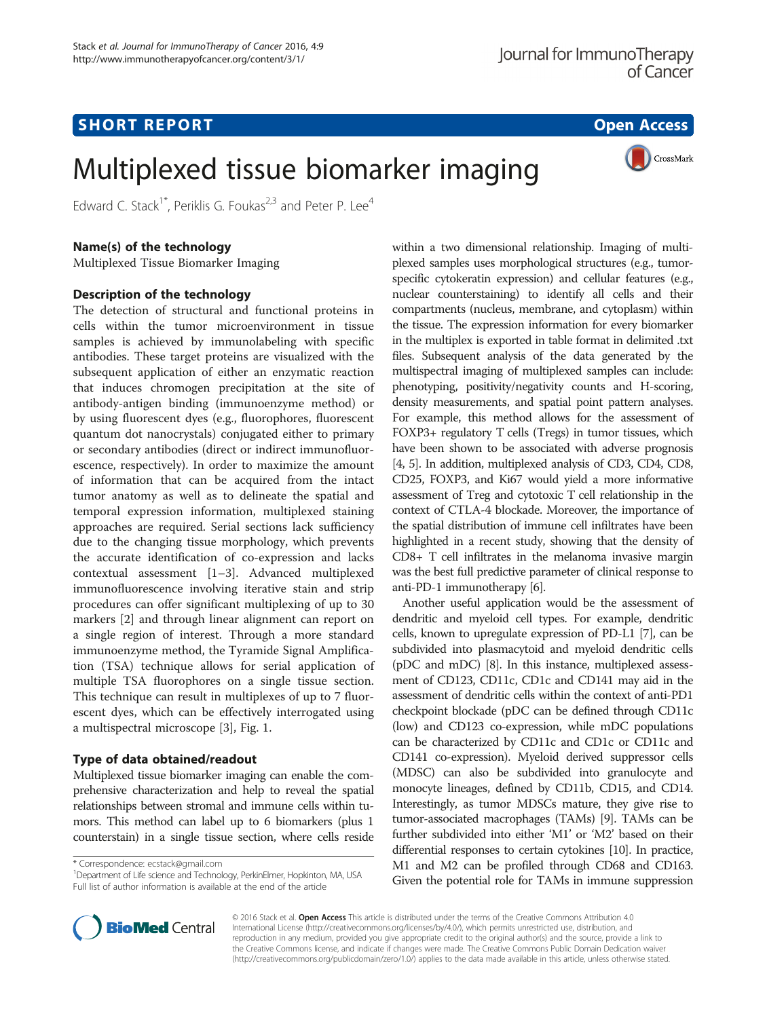CrossMark

# Multiplexed tissue biomarker imaging

Edward C. Stack<sup>1\*</sup>, Periklis G. Foukas<sup>2,3</sup> and Peter P. Lee<sup>4</sup>

## Name(s) of the technology

Multiplexed Tissue Biomarker Imaging

## Description of the technology

The detection of structural and functional proteins in cells within the tumor microenvironment in tissue samples is achieved by immunolabeling with specific antibodies. These target proteins are visualized with the subsequent application of either an enzymatic reaction that induces chromogen precipitation at the site of antibody-antigen binding (immunoenzyme method) or by using fluorescent dyes (e.g., fluorophores, fluorescent quantum dot nanocrystals) conjugated either to primary or secondary antibodies (direct or indirect immunofluorescence, respectively). In order to maximize the amount of information that can be acquired from the intact tumor anatomy as well as to delineate the spatial and temporal expression information, multiplexed staining approaches are required. Serial sections lack sufficiency due to the changing tissue morphology, which prevents the accurate identification of co-expression and lacks contextual assessment [\[1](#page-2-0)–[3\]](#page-2-0). Advanced multiplexed immunofluorescence involving iterative stain and strip procedures can offer significant multiplexing of up to 30 markers [\[2](#page-2-0)] and through linear alignment can report on a single region of interest. Through a more standard immunoenzyme method, the Tyramide Signal Amplification (TSA) technique allows for serial application of multiple TSA fluorophores on a single tissue section. This technique can result in multiplexes of up to 7 fluorescent dyes, which can be effectively interrogated using a multispectral microscope [\[3](#page-2-0)], Fig. [1.](#page-1-0)

## Type of data obtained/readout

Multiplexed tissue biomarker imaging can enable the comprehensive characterization and help to reveal the spatial relationships between stromal and immune cells within tumors. This method can label up to 6 biomarkers (plus 1 counterstain) in a single tissue section, where cells reside

\* Correspondence: [ecstack@gmail.com](mailto:ecstack@gmail.com) <sup>1</sup>

<sup>1</sup> Department of Life science and Technology, PerkinElmer, Hopkinton, MA, USA Full list of author information is available at the end of the article

within a two dimensional relationship. Imaging of multiplexed samples uses morphological structures (e.g., tumorspecific cytokeratin expression) and cellular features (e.g., nuclear counterstaining) to identify all cells and their compartments (nucleus, membrane, and cytoplasm) within the tissue. The expression information for every biomarker in the multiplex is exported in table format in delimited .txt files. Subsequent analysis of the data generated by the multispectral imaging of multiplexed samples can include: phenotyping, positivity/negativity counts and H-scoring, density measurements, and spatial point pattern analyses. For example, this method allows for the assessment of FOXP3+ regulatory T cells (Tregs) in tumor tissues, which have been shown to be associated with adverse prognosis [[4](#page-2-0), [5](#page-2-0)]. In addition, multiplexed analysis of CD3, CD4, CD8, CD25, FOXP3, and Ki67 would yield a more informative assessment of Treg and cytotoxic T cell relationship in the context of CTLA-4 blockade. Moreover, the importance of the spatial distribution of immune cell infiltrates have been highlighted in a recent study, showing that the density of CD8+ T cell infiltrates in the melanoma invasive margin was the best full predictive parameter of clinical response to anti-PD-1 immunotherapy [\[6\]](#page-2-0).

Another useful application would be the assessment of dendritic and myeloid cell types. For example, dendritic cells, known to upregulate expression of PD-L1 [[7](#page-2-0)], can be subdivided into plasmacytoid and myeloid dendritic cells (pDC and mDC) [\[8\]](#page-2-0). In this instance, multiplexed assessment of CD123, CD11c, CD1c and CD141 may aid in the assessment of dendritic cells within the context of anti-PD1 checkpoint blockade (pDC can be defined through CD11c (low) and CD123 co-expression, while mDC populations can be characterized by CD11c and CD1c or CD11c and CD141 co-expression). Myeloid derived suppressor cells (MDSC) can also be subdivided into granulocyte and monocyte lineages, defined by CD11b, CD15, and CD14. Interestingly, as tumor MDSCs mature, they give rise to tumor-associated macrophages (TAMs) [\[9\]](#page-2-0). TAMs can be further subdivided into either 'M1' or 'M2' based on their differential responses to certain cytokines [\[10](#page-2-0)]. In practice, M1 and M2 can be profiled through CD68 and CD163. Given the potential role for TAMs in immune suppression



© 2016 Stack et al. Open Access This article is distributed under the terms of the Creative Commons Attribution 4.0 International License [\(http://creativecommons.org/licenses/by/4.0/](http://creativecommons.org/licenses/by/4.0/)), which permits unrestricted use, distribution, and reproduction in any medium, provided you give appropriate credit to the original author(s) and the source, provide a link to the Creative Commons license, and indicate if changes were made. The Creative Commons Public Domain Dedication waiver [\(http://creativecommons.org/publicdomain/zero/1.0/](http://creativecommons.org/publicdomain/zero/1.0/)) applies to the data made available in this article, unless otherwise stated.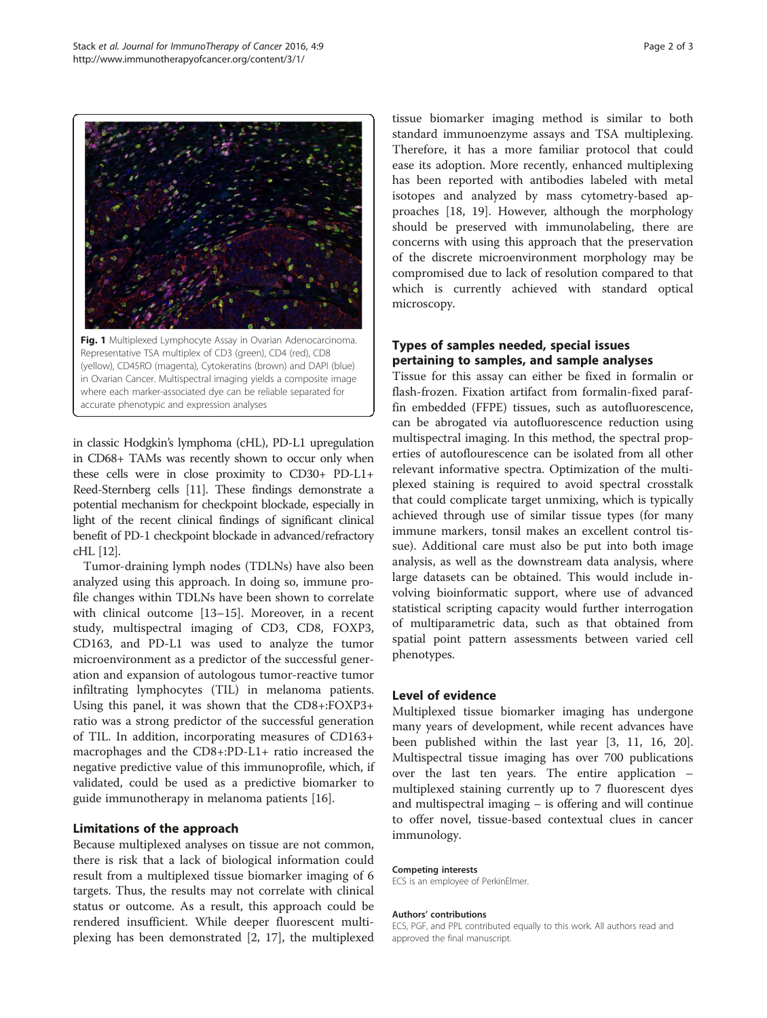<span id="page-1-0"></span>

in Ovarian Cancer. Multispectral imaging yields a composite image where each marker-associated dye can be reliable separated for accurate phenotypic and expression analyses

in classic Hodgkin's lymphoma (cHL), PD-L1 upregulation in CD68+ TAMs was recently shown to occur only when these cells were in close proximity to CD30+ PD-L1+ Reed-Sternberg cells [\[11\]](#page-2-0). These findings demonstrate a potential mechanism for checkpoint blockade, especially in light of the recent clinical findings of significant clinical benefit of PD-1 checkpoint blockade in advanced/refractory cHL [\[12\]](#page-2-0).

Tumor-draining lymph nodes (TDLNs) have also been analyzed using this approach. In doing so, immune profile changes within TDLNs have been shown to correlate with clinical outcome [[13](#page-2-0)–[15](#page-2-0)]. Moreover, in a recent study, multispectral imaging of CD3, CD8, FOXP3, CD163, and PD-L1 was used to analyze the tumor microenvironment as a predictor of the successful generation and expansion of autologous tumor-reactive tumor infiltrating lymphocytes (TIL) in melanoma patients. Using this panel, it was shown that the CD8+:FOXP3+ ratio was a strong predictor of the successful generation of TIL. In addition, incorporating measures of CD163+ macrophages and the CD8+:PD-L1+ ratio increased the negative predictive value of this immunoprofile, which, if validated, could be used as a predictive biomarker to guide immunotherapy in melanoma patients [[16\]](#page-2-0).

## Limitations of the approach

Because multiplexed analyses on tissue are not common, there is risk that a lack of biological information could result from a multiplexed tissue biomarker imaging of 6 targets. Thus, the results may not correlate with clinical status or outcome. As a result, this approach could be rendered insufficient. While deeper fluorescent multiplexing has been demonstrated [[2, 17\]](#page-2-0), the multiplexed

tissue biomarker imaging method is similar to both standard immunoenzyme assays and TSA multiplexing. Therefore, it has a more familiar protocol that could ease its adoption. More recently, enhanced multiplexing has been reported with antibodies labeled with metal isotopes and analyzed by mass cytometry-based approaches [\[18](#page-2-0), [19](#page-2-0)]. However, although the morphology should be preserved with immunolabeling, there are concerns with using this approach that the preservation of the discrete microenvironment morphology may be compromised due to lack of resolution compared to that which is currently achieved with standard optical microscopy.

# Types of samples needed, special issues pertaining to samples, and sample analyses

Tissue for this assay can either be fixed in formalin or flash-frozen. Fixation artifact from formalin-fixed paraffin embedded (FFPE) tissues, such as autofluorescence, can be abrogated via autofluorescence reduction using multispectral imaging. In this method, the spectral properties of autoflourescence can be isolated from all other relevant informative spectra. Optimization of the multiplexed staining is required to avoid spectral crosstalk that could complicate target unmixing, which is typically achieved through use of similar tissue types (for many immune markers, tonsil makes an excellent control tissue). Additional care must also be put into both image analysis, as well as the downstream data analysis, where large datasets can be obtained. This would include involving bioinformatic support, where use of advanced statistical scripting capacity would further interrogation of multiparametric data, such as that obtained from spatial point pattern assessments between varied cell phenotypes.

## Level of evidence

Multiplexed tissue biomarker imaging has undergone many years of development, while recent advances have been published within the last year [[3, 11, 16](#page-2-0), [20](#page-2-0)]. Multispectral tissue imaging has over 700 publications over the last ten years. The entire application – multiplexed staining currently up to 7 fluorescent dyes and multispectral imaging – is offering and will continue to offer novel, tissue-based contextual clues in cancer immunology.

## Competing interests

ECS is an employee of PerkinElmer.

#### Authors' contributions

ECS, PGF, and PPL contributed equally to this work. All authors read and approved the final manuscript.